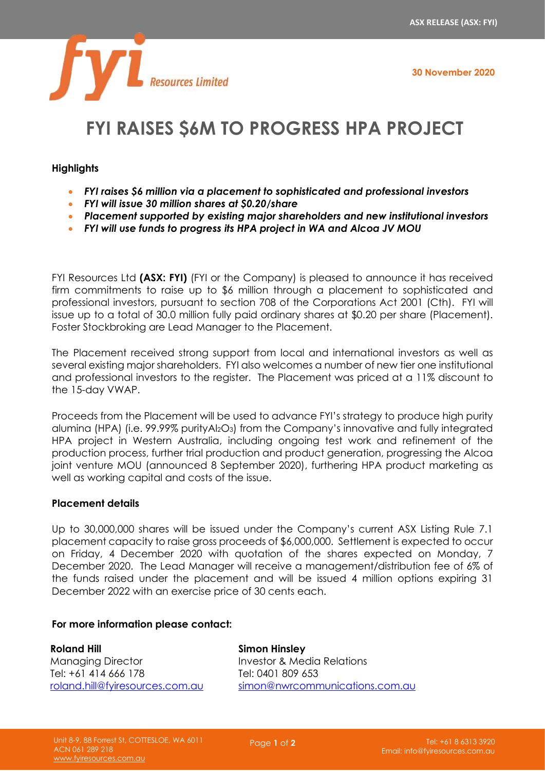**30 November 2020**



# **FYI RAISES \$6M TO PROGRESS HPA PROJECT**

## **Highlights**

- *FYI raises \$6 million via a placement to sophisticated and professional investors*
- *FYI will issue 30 million shares at \$0.20/share*
- *Placement supported by existing major shareholders and new institutional investors*
- *FYI will use funds to progress its HPA project in WA and Alcoa JV MOU*

FYI Resources Ltd **(ASX: FYI)** (FYI or the Company) is pleased to announce it has received firm commitments to raise up to \$6 million through a placement to sophisticated and professional investors, pursuant to section 708 of the Corporations Act 2001 (Cth). FYI will issue up to a total of 30.0 million fully paid ordinary shares at \$0.20 per share (Placement). Foster Stockbroking are Lead Manager to the Placement.

The Placement received strong support from local and international investors as well as several existing major shareholders. FYI also welcomes a number of new tier one institutional and professional investors to the register. The Placement was priced at a 11% discount to the 15-day VWAP.

Proceeds from the Placement will be used to advance FYI's strategy to produce high purity alumina (HPA) (i.e. 99.99% purityAl2O3) from the Company's innovative and fully integrated HPA project in Western Australia, including ongoing test work and refinement of the production process, further trial production and product generation, progressing the Alcoa joint venture MOU (announced 8 September 2020), furthering HPA product marketing as well as working capital and costs of the issue.

## **Placement details**

Up to 30,000,000 shares will be issued under the Company's current ASX Listing Rule 7.1 placement capacity to raise gross proceeds of \$6,000,000. Settlement is expected to occur on Friday, 4 December 2020 with quotation of the shares expected on Monday, 7 December 2020. The Lead Manager will receive a management/distribution fee of 6% of the funds raised under the placement and will be issued 4 million options expiring 31 December 2022 with an exercise price of 30 cents each.

#### **For more information please contact:**

**Roland Hill** Managing Director Tel: +61 414 666 178 [roland.hill@fyiresources.com.au](mailto:roland.hill@fyiresources.com.au) **Simon Hinsley** Investor & Media Relations Tel: 0401 809 653 [simon@nwrcommunications.com.au](mailto:simon@nwrcommunications.com.au)

Page **1** of **2**